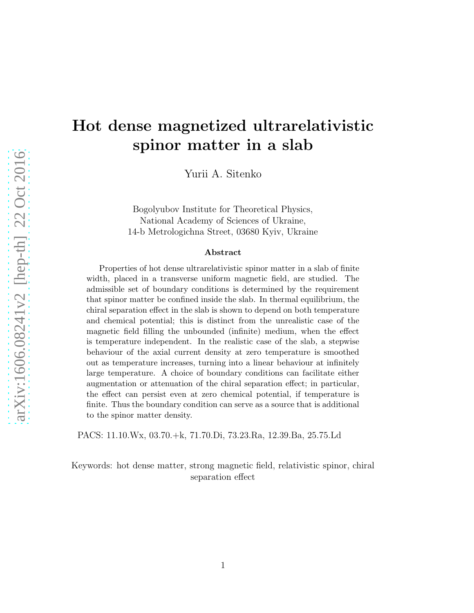# Hot dense magnetized ultrarelativistic spinor matter in a slab

Yurii A. Sitenko

Bogolyubov Institute for Theoretical Physics, National Academy of Sciences of Ukraine, 14-b Metrologichna Street, 03680 Kyiv, Ukraine

#### Abstract

Properties of hot dense ultrarelativistic spinor matter in a slab of finite width, placed in a transverse uniform magnetic field, are studied. The admissible set of boundary conditions is determined by the requirement that spinor matter be confined inside the slab. In thermal equilibrium, the chiral separation effect in the slab is shown to depend on both temperature and chemical potential; this is distinct from the unrealistic case of the magnetic field filling the unbounded (infinite) medium, when the effect is temperature independent. In the realistic case of the slab, a stepwise behaviour of the axial current density at zero temperature is smoothed out as temperature increases, turning into a linear behaviour at infinitely large temperature. A choice of boundary conditions can facilitate either augmentation or attenuation of the chiral separation effect; in particular, the effect can persist even at zero chemical potential, if temperature is finite. Thus the boundary condition can serve as a source that is additional to the spinor matter density.

PACS: 11.10.Wx, 03.70.+k, 71.70.Di, 73.23.Ra, 12.39.Ba, 25.75.Ld

Keywords: hot dense matter, strong magnetic field, relativistic spinor, chiral separation effect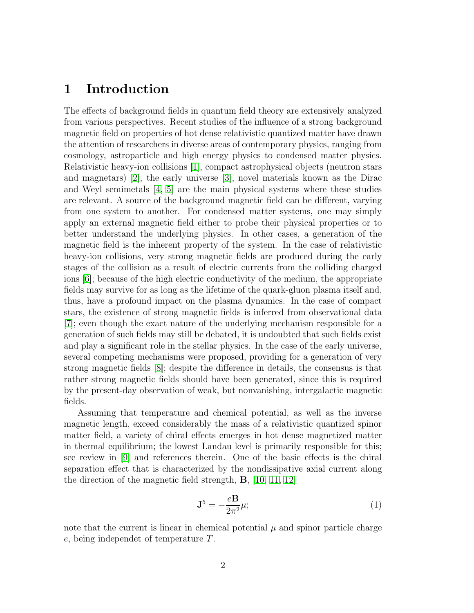#### 1 Introduction

The effects of background fields in quantum field theory are extensively analyzed from various perspectives. Recent studies of the influence of a strong background magnetic field on properties of hot dense relativistic quantized matter have drawn the attention of researchers in diverse areas of contemporary physics, ranging from cosmology, astroparticle and high energy physics to condensed matter physics. Relativistic heavy-ion collisions [\[1\]](#page-27-0), compact astrophysical objects (neutron stars and magnetars) [\[2\]](#page-27-1), the early universe [\[3\]](#page-27-2), novel materials known as the Dirac and Weyl semimetals [\[4,](#page-27-3) [5\]](#page-27-4) are the main physical systems where these studies are relevant. A source of the background magnetic field can be different, varying from one system to another. For condensed matter systems, one may simply apply an external magnetic field either to probe their physical properties or to better understand the underlying physics. In other cases, a generation of the magnetic field is the inherent property of the system. In the case of relativistic heavy-ion collisions, very strong magnetic fields are produced during the early stages of the collision as a result of electric currents from the colliding charged ions [\[6\]](#page-27-5); because of the high electric conductivity of the medium, the appropriate fields may survive for as long as the lifetime of the quark-gluon plasma itself and, thus, have a profound impact on the plasma dynamics. In the case of compact stars, the existence of strong magnetic fields is inferred from observational data [\[7\]](#page-27-6); even though the exact nature of the underlying mechanism responsible for a generation of such fields may still be debated, it is undoubted that such fields exist and play a significant role in the stellar physics. In the case of the early universe, several competing mechanisms were proposed, providing for a generation of very strong magnetic fields [\[8\]](#page-27-7); despite the difference in details, the consensus is that rather strong magnetic fields should have been generated, since this is required by the present-day observation of weak, but nonvanishing, intergalactic magnetic fields.

Assuming that temperature and chemical potential, as well as the inverse magnetic length, exceed considerably the mass of a relativistic quantized spinor matter field, a variety of chiral effects emerges in hot dense magnetized matter in thermal equilibrium; the lowest Landau level is primarily responsible for this; see review in [\[9\]](#page-27-8) and references therein. One of the basic effects is the chiral separation effect that is characterized by the nondissipative axial current along the direction of the magnetic field strength, B, [\[10,](#page-28-0) [11,](#page-28-1) [12\]](#page-28-2)

$$
\mathbf{J}^5 = -\frac{e\mathbf{B}}{2\pi^2}\mu;\tag{1}
$$

note that the current is linear in chemical potential  $\mu$  and spinor particle charge e, being independet of temperature T.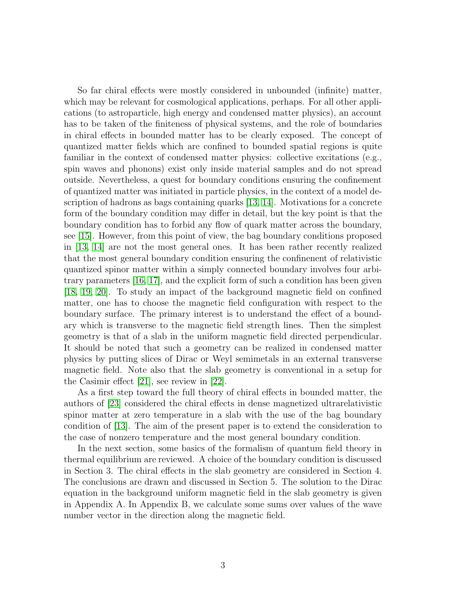So far chiral effects were mostly considered in unbounded (infinite) matter, which may be relevant for cosmological applications, perhaps. For all other applications (to astroparticle, high energy and condensed matter physics), an account has to be taken of the finiteness of physical systems, and the role of boundaries in chiral effects in bounded matter has to be clearly exposed. The concept of quantized matter fields which are confined to bounded spatial regions is quite familiar in the context of condensed matter physics: collective excitations (e.g., spin waves and phonons) exist only inside material samples and do not spread outside. Nevertheless, a quest for boundary conditions ensuring the confinement of quantized matter was initiated in particle physics, in the context of a model description of hadrons as bags containing quarks [\[13,](#page-28-3) [14\]](#page-28-4). Motivations for a concrete form of the boundary condition may differ in detail, but the key point is that the boundary condition has to forbid any flow of quark matter across the boundary, see [\[15\]](#page-28-5). However, from this point of view, the bag boundary conditions proposed in [\[13,](#page-28-3) [14\]](#page-28-4) are not the most general ones. It has been rather recently realized that the most general boundary condition ensuring the confinenent of relativistic quantized spinor matter within a simply connected boundary involves four arbitrary parameters [\[16,](#page-28-6) [17\]](#page-28-7), and the explicit form of such a condition has been given [\[18,](#page-28-8) [19,](#page-28-9) [20\]](#page-28-10). To study an impact of the background magnetic field on confined matter, one has to choose the magnetic field configuration with respect to the boundary surface. The primary interest is to understand the effect of a boundary which is transverse to the magnetic field strength lines. Then the simplest geometry is that of a slab in the uniform magnetic field directed perpendicular. It should be noted that such a geometry can be realized in condensed matter physics by putting slices of Dirac or Weyl semimetals in an external transverse magnetic field. Note also that the slab geometry is conventional in a setup for the Casimir effect [\[21\]](#page-28-11), see review in [\[22\]](#page-28-12).

As a first step toward the full theory of chiral effects in bounded matter, the authors of [\[23\]](#page-28-13) considered the chiral effects in dense magnetized ultrarelativistic spinor matter at zero temperature in a slab with the use of the bag boundary condition of [\[13\]](#page-28-3). The aim of the present paper is to extend the consideration to the case of nonzero temperature and the most general boundary condition.

In the next section, some basics of the formalism of quantum field theory in thermal equilibrium are reviewed. A choice of the boundary condition is discussed in Section 3. The chiral effects in the slab geometry are considered in Section 4. The conclusions are drawn and discussed in Section 5. The solution to the Dirac equation in the background uniform magnetic field in the slab geometry is given in Appendix A. In Appendix B, we calculate some sums over values of the wave number vector in the direction along the magnetic field.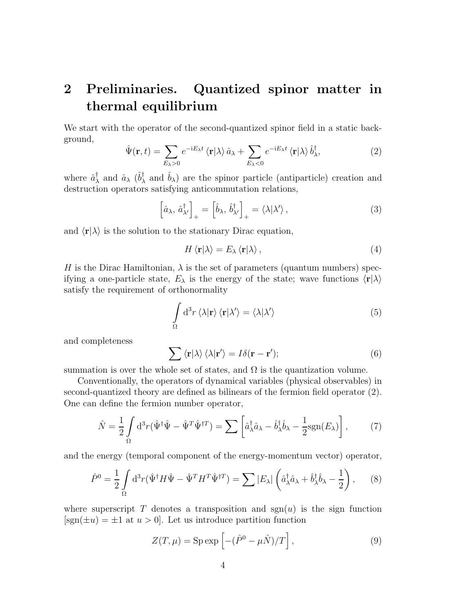### 2 Preliminaries. Quantized spinor matter in thermal equilibrium

We start with the operator of the second-quantized spinor field in a static background,

$$
\hat{\Psi}(\mathbf{r},t) = \sum_{E_{\lambda} > 0} e^{-iE_{\lambda}t} \langle \mathbf{r} | \lambda \rangle \hat{a}_{\lambda} + \sum_{E_{\lambda} < 0} e^{-iE_{\lambda}t} \langle \mathbf{r} | \lambda \rangle \hat{b}_{\lambda}^{\dagger}, \tag{2}
$$

where  $\hat{a}^{\dagger}_{\lambda}$  and  $\hat{a}_{\lambda}$  ( $\hat{b}^{\dagger}_{\lambda}$  and  $\hat{b}_{\lambda}$ ) are the spinor particle (antiparticle) creation and destruction operators satisfying anticommutation relations,

$$
\left[\hat{a}_{\lambda}, \hat{a}_{\lambda'}^{\dagger}\right]_{+} = \left[\hat{b}_{\lambda}, \hat{b}_{\lambda'}^{\dagger}\right]_{+} = \langle \lambda | \lambda' \rangle ,\qquad (3)
$$

and  $\langle \mathbf{r} | \lambda \rangle$  is the solution to the stationary Dirac equation,

$$
H \langle \mathbf{r} | \lambda \rangle = E_{\lambda} \langle \mathbf{r} | \lambda \rangle, \tag{4}
$$

H is the Dirac Hamiltonian,  $\lambda$  is the set of parameters (quantum numbers) specifying a one-particle state,  $E_{\lambda}$  is the energy of the state; wave functions  $\langle \mathbf{r} | \lambda \rangle$ satisfy the requirement of orthonormality

$$
\int_{\Omega} d^{3}r \langle \lambda | \mathbf{r} \rangle \langle \mathbf{r} | \lambda' \rangle = \langle \lambda | \lambda' \rangle \tag{5}
$$

and completeness

$$
\sum \langle \mathbf{r} | \lambda \rangle \langle \lambda | \mathbf{r}' \rangle = I \delta(\mathbf{r} - \mathbf{r}');
$$
 (6)

summation is over the whole set of states, and  $\Omega$  is the quantization volume.

Conventionally, the operators of dynamical variables (physical observables) in second-quantized theory are defined as bilinears of the fermion field operator (2). One can define the fermion number operator,

$$
\hat{N} = \frac{1}{2} \int_{\Omega} d^3 r (\hat{\Psi}^{\dagger} \hat{\Psi} - \hat{\Psi}^T \hat{\Psi}^{\dagger T}) = \sum \left[ \hat{a}_{\lambda}^{\dagger} \hat{a}_{\lambda} - \hat{b}_{\lambda}^{\dagger} \hat{b}_{\lambda} - \frac{1}{2} \text{sgn}(E_{\lambda}) \right], \tag{7}
$$

and the energy (temporal component of the energy-momentum vector) operator,

$$
\hat{P}^0 = \frac{1}{2} \int_{\Omega} d^3 r (\hat{\Psi}^{\dagger} H \hat{\Psi} - \hat{\Psi}^T H^T \hat{\Psi}^{\dagger T}) = \sum |E_{\lambda}| \left( \hat{a}_{\lambda}^{\dagger} \hat{a}_{\lambda} + \hat{b}_{\lambda}^{\dagger} \hat{b}_{\lambda} - \frac{1}{2} \right), \quad (8)
$$

where superscript T denotes a transposition and  $sgn(u)$  is the sign function  $[sgn(\pm u) = \pm 1$  at  $u > 0$ . Let us introduce partition function

$$
Z(T,\mu) = \text{Sp} \exp\left[-(\hat{P}^0 - \mu \hat{N})/T\right],\tag{9}
$$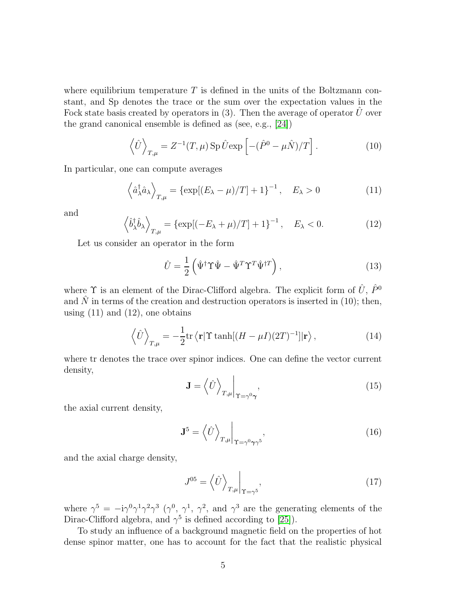where equilibrium temperature  $T$  is defined in the units of the Boltzmann constant, and Sp denotes the trace or the sum over the expectation values in the Fock state basis created by operators in  $(3)$ . Then the average of operator U over the grand canonical ensemble is defined as (see, e.g., [\[24\]](#page-28-14))

$$
\left\langle \hat{U} \right\rangle_{T,\mu} = Z^{-1}(T,\mu) \operatorname{Sp} \hat{U} \exp \left[ -(\hat{P}^0 - \mu \hat{N})/T \right]. \tag{10}
$$

In particular, one can compute averages

$$
\left\langle \hat{a}_{\lambda}^{\dagger} \hat{a}_{\lambda} \right\rangle_{T,\mu} = \left\{ \exp[(E_{\lambda} - \mu)/T] + 1 \right\}^{-1}, \quad E_{\lambda} > 0 \tag{11}
$$

and

$$
\left\langle \hat{b}_{\lambda}^{\dagger} \hat{b}_{\lambda} \right\rangle_{T,\mu} = \left\{ \exp[(-E_{\lambda} + \mu)/T] + 1 \right\}^{-1}, \quad E_{\lambda} < 0. \tag{12}
$$

Let us consider an operator in the form

$$
\hat{U} = \frac{1}{2} \left( \hat{\Psi}^{\dagger} \Upsilon \hat{\Psi} - \hat{\Psi}^T \Upsilon^T \hat{\Psi}^{\dagger T} \right), \qquad (13)
$$

where  $\Upsilon$  is an element of the Dirac-Clifford algebra. The explicit form of  $\hat{U}$ ,  $\hat{P}^0$ and  $\hat{N}$  in terms of the creation and destruction operators is inserted in (10); then, using  $(11)$  and  $(12)$ , one obtains

$$
\left\langle \hat{U} \right\rangle_{T,\mu} = -\frac{1}{2} \text{tr} \left\langle \mathbf{r} | \Upsilon \tanh[(H - \mu I)(2T)^{-1}] | \mathbf{r} \right\rangle, \tag{14}
$$

where tr denotes the trace over spinor indices. One can define the vector current density,

$$
\mathbf{J} = \left\langle \hat{U} \right\rangle_{T, \mu} \bigg|_{\Upsilon = \gamma^0 \gamma}, \tag{15}
$$

the axial current density,

$$
\mathbf{J}^5 = \left\langle \hat{U} \right\rangle_{T,\mu} \Big|_{\Upsilon = \gamma^0 \gamma \gamma^5},\tag{16}
$$

and the axial charge density,

$$
J^{05} = \left\langle \hat{U} \right\rangle_{T,\mu} \bigg|_{\Upsilon = \gamma^5},\tag{17}
$$

where  $\gamma^5 = -i\gamma^0\gamma^1\gamma^2\gamma^3$   $(\gamma^0, \gamma^1, \gamma^2,$  and  $\gamma^3$  are the generating elements of the Dirac-Clifford algebra, and  $\gamma^5$  is defined according to [\[25\]](#page-28-15)).

To study an influence of a background magnetic field on the properties of hot dense spinor matter, one has to account for the fact that the realistic physical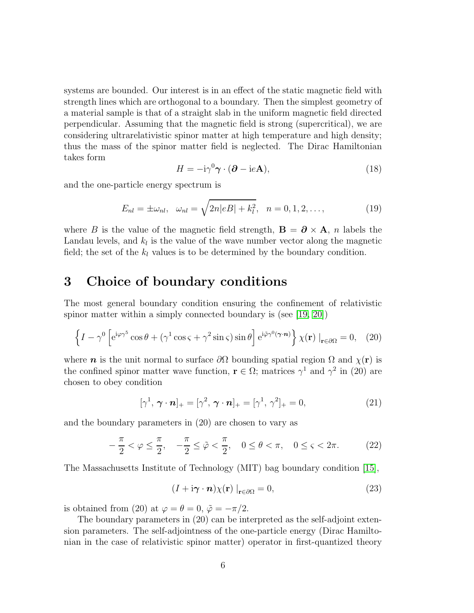systems are bounded. Our interest is in an effect of the static magnetic field with strength lines which are orthogonal to a boundary. Then the simplest geometry of a material sample is that of a straight slab in the uniform magnetic field directed perpendicular. Assuming that the magnetic field is strong (supercritical), we are considering ultrarelativistic spinor matter at high temperature and high density; thus the mass of the spinor matter field is neglected. The Dirac Hamiltonian takes form

$$
H = -\mathrm{i}\gamma^0 \gamma \cdot (\partial - \mathrm{i}e\mathbf{A}),\tag{18}
$$

and the one-particle energy spectrum is

$$
E_{nl} = \pm \omega_{nl}, \quad \omega_{nl} = \sqrt{2n|eB| + k_l^2}, \quad n = 0, 1, 2, \dots,
$$
 (19)

where B is the value of the magnetic field strength,  $\mathbf{B} = \partial \times \mathbf{A}$ , n labels the Landau levels, and  $k_l$  is the value of the wave number vector along the magnetic field; the set of the  $k_l$  values is to be determined by the boundary condition.

#### 3 Choice of boundary conditions

The most general boundary condition ensuring the confinement of relativistic spinor matter within a simply connected boundary is (see [\[19,](#page-28-9) [20\]](#page-28-10))

$$
\left\{I - \gamma^0 \left[e^{i\varphi \gamma^5} \cos \theta + (\gamma^1 \cos \varsigma + \gamma^2 \sin \varsigma) \sin \theta\right] e^{i\tilde{\varphi} \gamma^0 (\gamma \cdot \mathbf{n})} \right\} \chi(\mathbf{r}) \big|_{\mathbf{r} \in \partial \Omega} = 0, \quad (20)
$$

where **n** is the unit normal to surface  $\partial\Omega$  bounding spatial region  $\Omega$  and  $\chi(\mathbf{r})$  is the confined spinor matter wave function,  $\mathbf{r} \in \Omega$ ; matrices  $\gamma^1$  and  $\gamma^2$  in (20) are chosen to obey condition

$$
[\gamma^1, \boldsymbol{\gamma} \cdot \boldsymbol{n}]_+ = [\gamma^2, \boldsymbol{\gamma} \cdot \boldsymbol{n}]_+ = [\gamma^1, \gamma^2]_+ = 0, \qquad (21)
$$

and the boundary parameters in (20) are chosen to vary as

$$
-\frac{\pi}{2} < \varphi \le \frac{\pi}{2}, \quad -\frac{\pi}{2} \le \tilde{\varphi} < \frac{\pi}{2}, \quad 0 \le \theta < \pi, \quad 0 \le \varsigma < 2\pi. \tag{22}
$$

The Massachusetts Institute of Technology (MIT) bag boundary condition [\[15\]](#page-28-5),

$$
(I + i\boldsymbol{\gamma} \cdot \boldsymbol{n}) \chi(\mathbf{r}) \big|_{\mathbf{r} \in \partial \Omega} = 0,
$$
 (23)

is obtained from (20) at  $\varphi = \theta = 0$ ,  $\tilde{\varphi} = -\pi/2$ .

The boundary parameters in (20) can be interpreted as the self-adjoint extension parameters. The self-adjointness of the one-particle energy (Dirac Hamiltonian in the case of relativistic spinor matter) operator in first-quantized theory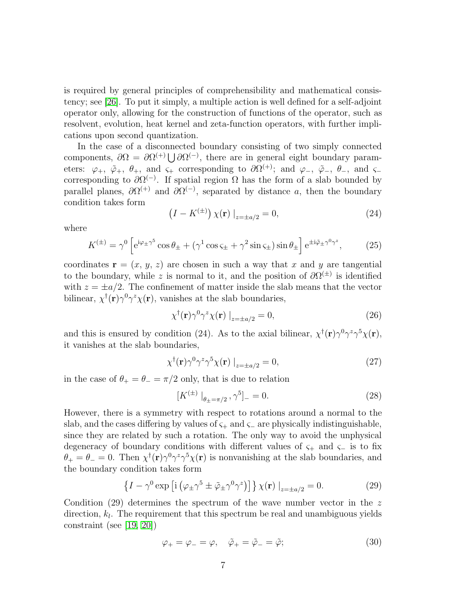is required by general principles of comprehensibility and mathematical consistency; see [\[26\]](#page-28-16). To put it simply, a multiple action is well defined for a self-adjoint operator only, allowing for the construction of functions of the operator, such as resolvent, evolution, heat kernel and zeta-function operators, with further implications upon second quantization.

In the case of a disconnected boundary consisting of two simply connected components,  $\partial\Omega = \partial\Omega^{(+)} \bigcup \partial\Omega^{(-)}$ , there are in general eight boundary parameters:  $\varphi_+$ ,  $\tilde{\varphi}_+$ ,  $\theta_+$ , and  $\varsigma_+$  corresponding to  $\partial\Omega^{(+)}$ ; and  $\varphi_-$ ,  $\tilde{\varphi}_-$ ,  $\theta_-$ , and  $\varsigma_$ corresponding to  $\partial \Omega^{(-)}$ . If spatial region  $\Omega$  has the form of a slab bounded by parallel planes,  $\partial \Omega^{(+)}$  and  $\partial \Omega^{(-)}$ , separated by distance a, then the boundary condition takes form

$$
(I - K^{(\pm)}) \chi(\mathbf{r}) \big|_{z = \pm a/2} = 0,\tag{24}
$$

where

$$
K^{(\pm)} = \gamma^0 \left[ e^{i\varphi_{\pm}\gamma^5} \cos \theta_{\pm} + (\gamma^1 \cos \zeta_{\pm} + \gamma^2 \sin \zeta_{\pm}) \sin \theta_{\pm} \right] e^{\pm i\tilde{\varphi}_{\pm}\gamma^0 \gamma^z}, \tag{25}
$$

coordinates  $\mathbf{r} = (x, y, z)$  are chosen in such a way that x and y are tangential to the boundary, while z is normal to it, and the position of  $\partial \Omega^{(\pm)}$  is identified with  $z = \pm a/2$ . The confinement of matter inside the slab means that the vector bilinear,  $\chi^{\dagger}(\mathbf{r})\gamma^0\gamma^z\chi(\mathbf{r})$ , vanishes at the slab boundaries,

$$
\chi^{\dagger}(\mathbf{r})\gamma^{0}\gamma^{z}\chi(\mathbf{r})\big|_{z=\pm a/2}=0,
$$
\n(26)

and this is ensured by condition (24). As to the axial bilinear,  $\chi^{\dagger}(\mathbf{r})\gamma^0\gamma^z\gamma^5\chi(\mathbf{r})$ , it vanishes at the slab boundaries,

$$
\chi^{\dagger}(\mathbf{r})\gamma^{0}\gamma^{z}\gamma^{5}\chi(\mathbf{r})\left|_{z=\pm a/2}\right. = 0,\tag{27}
$$

in the case of  $\theta_+ = \theta_- = \pi/2$  only, that is due to relation

$$
[K^{(\pm)}\vert_{\theta_{\pm}=\pi/2}, \gamma^5]_-=0. \tag{28}
$$

However, there is a symmetry with respect to rotations around a normal to the slab, and the cases differing by values of  $\varsigma_+$  and  $\varsigma_-$  are physically indistinguishable, since they are related by such a rotation. The only way to avoid the unphysical degeneracy of boundary conditions with different values of  $\varsigma_+$  and  $\varsigma_-$  is to fix  $\theta_+ = \theta_- = 0$ . Then  $\chi^{\dagger}(\mathbf{r}) \gamma^0 \gamma^z \gamma^5 \chi(\mathbf{r})$  is nonvanishing at the slab boundaries, and the boundary condition takes form

$$
\left\{I - \gamma^0 \exp\left[i\left(\varphi_{\pm}\gamma^5 \pm \tilde{\varphi}_{\pm}\gamma^0 \gamma^z\right)\right]\right\} \chi(\mathbf{r}) \big|_{z=\pm a/2} = 0. \tag{29}
$$

Condition (29) determines the spectrum of the wave number vector in the  $z$ direction,  $k_l$ . The requirement that this spectrum be real and unambiguous yields constraint (see [\[19,](#page-28-9) [20\]](#page-28-10))

$$
\varphi_+ = \varphi_- = \varphi, \quad \tilde{\varphi}_+ = \tilde{\varphi}_- = \tilde{\varphi}; \tag{30}
$$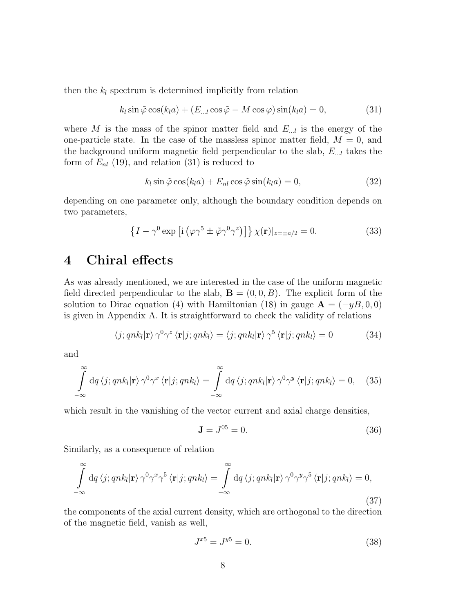then the  $k_l$  spectrum is determined implicitly from relation

$$
k_l \sin \tilde{\varphi} \cos(k_l a) + (E_{...l} \cos \tilde{\varphi} - M \cos \varphi) \sin(k_l a) = 0,
$$
 (31)

where M is the mass of the spinor matter field and  $E_{\ldots l}$  is the energy of the one-particle state. In the case of the massless spinor matter field,  $M = 0$ , and the background uniform magnetic field perpendicular to the slab,  $E_{\ldots l}$  takes the form of  $E_{nl}$  (19), and relation (31) is reduced to

$$
k_l \sin \tilde{\varphi} \cos(k_l a) + E_{nl} \cos \tilde{\varphi} \sin(k_l a) = 0,
$$
\n(32)

depending on one parameter only, although the boundary condition depends on two parameters,

$$
\left\{I - \gamma^0 \exp\left[i\left(\varphi \gamma^5 \pm \tilde{\varphi} \gamma^0 \gamma^z\right)\right]\right\} \chi(\mathbf{r})|_{z=\pm a/2} = 0. \tag{33}
$$

#### 4 Chiral effects

As was already mentioned, we are interested in the case of the uniform magnetic field directed perpendicular to the slab,  $\mathbf{B} = (0, 0, B)$ . The explicit form of the solution to Dirac equation (4) with Hamiltonian (18) in gauge  $\mathbf{A} = (-yB, 0, 0)$ is given in Appendix A. It is straightforward to check the validity of relations

$$
\langle j; qnk_l|\mathbf{r}\rangle \gamma^0 \gamma^z \langle \mathbf{r}|j; qnk_l\rangle = \langle j; qnk_l|\mathbf{r}\rangle \gamma^5 \langle \mathbf{r}|j; qnk_l\rangle = 0 \tag{34}
$$

and

$$
\int_{-\infty}^{\infty} dq \langle j; qnk_l | \mathbf{r} \rangle \gamma^0 \gamma^x \langle \mathbf{r} | j; qnk_l \rangle = \int_{-\infty}^{\infty} dq \langle j; qnk_l | \mathbf{r} \rangle \gamma^0 \gamma^y \langle \mathbf{r} | j; qnk_l \rangle = 0, \quad (35)
$$

which result in the vanishing of the vector current and axial charge densities,

$$
\mathbf{J} = J^{05} = 0. \tag{36}
$$

Similarly, as a consequence of relation

$$
\int_{-\infty}^{\infty} dq \langle j; qnk_l | \mathbf{r} \rangle \gamma^0 \gamma^x \gamma^5 \langle \mathbf{r} | j; qnk_l \rangle = \int_{-\infty}^{\infty} dq \langle j; qnk_l | \mathbf{r} \rangle \gamma^0 \gamma^y \gamma^5 \langle \mathbf{r} | j; qnk_l \rangle = 0,
$$
\n(37)

the components of the axial current density, which are orthogonal to the direction of the magnetic field, vanish as well,

$$
J^{x5} = J^{y5} = 0.\t\t(38)
$$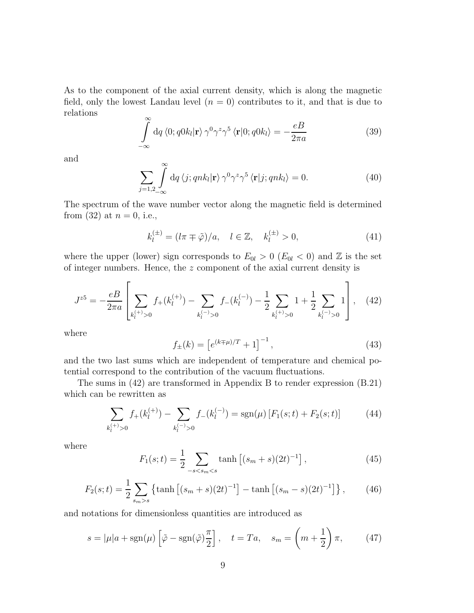As to the component of the axial current density, which is along the magnetic field, only the lowest Landau level  $(n = 0)$  contributes to it, and that is due to relations

$$
\int_{-\infty}^{\infty} dq \langle 0; q0k_l | \mathbf{r} \rangle \gamma^0 \gamma^z \gamma^5 \langle \mathbf{r} | 0; q0k_l \rangle = -\frac{eB}{2\pi a}
$$
(39)

and

$$
\sum_{j=1,2,\ldots} \int_{-\infty}^{\infty} dq \langle j; qnk_l | \mathbf{r} \rangle \gamma^0 \gamma^z \gamma^5 \langle \mathbf{r} | j; qnk_l \rangle = 0.
$$
 (40)

The spectrum of the wave number vector along the magnetic field is determined from (32) at  $n = 0$ , i.e.,

$$
k_l^{(\pm)} = (l\pi \mp \tilde{\varphi})/a, \quad l \in \mathbb{Z}, \quad k_l^{(\pm)} > 0,
$$
\n(41)

where the upper (lower) sign corresponds to  $E_{0l} > 0$  ( $E_{0l} < 0$ ) and  $\mathbb{Z}$  is the set of integer numbers. Hence, the z component of the axial current density is

$$
J^{z5} = -\frac{e}{2\pi a} \left[ \sum_{k_l^{(+)} > 0} f_+(k_l^{(+)}) - \sum_{k_l^{(-)} > 0} f_-(k_l^{(-)}) - \frac{1}{2} \sum_{k_l^{(+)} > 0} 1 + \frac{1}{2} \sum_{k_l^{(-)} > 0} 1 \right], \quad (42)
$$

where

$$
f_{\pm}(k) = \left[e^{(k \mp \mu)/T} + 1\right]^{-1},\tag{43}
$$

and the two last sums which are independent of temperature and chemical potential correspond to the contribution of the vacuum fluctuations.

The sums in (42) are transformed in Appendix B to render expression (B.21) which can be rewritten as

$$
\sum_{k_l^{(+)}>0} f_+(k_l^{(+)}) - \sum_{k_l^{(-)}>0} f_-(k_l^{(-)}) = \text{sgn}(\mu) \left[ F_1(s;t) + F_2(s;t) \right] \tag{44}
$$

where

$$
F_1(s;t) = \frac{1}{2} \sum_{-s < s_m < s} \tanh\left[ (s_m + s)(2t)^{-1} \right],\tag{45}
$$

$$
F_2(s;t) = \frac{1}{2} \sum_{s_m > s} \left\{ \tanh \left[ (s_m + s)(2t)^{-1} \right] - \tanh \left[ (s_m - s)(2t)^{-1} \right] \right\},\tag{46}
$$

and notations for dimensionless quantities are introduced as

$$
s = |\mu|a + sgn(\mu) \left[\tilde{\varphi} - sgn(\tilde{\varphi})\frac{\pi}{2}\right], \quad t = Ta, \quad s_m = \left(m + \frac{1}{2}\right)\pi,\tag{47}
$$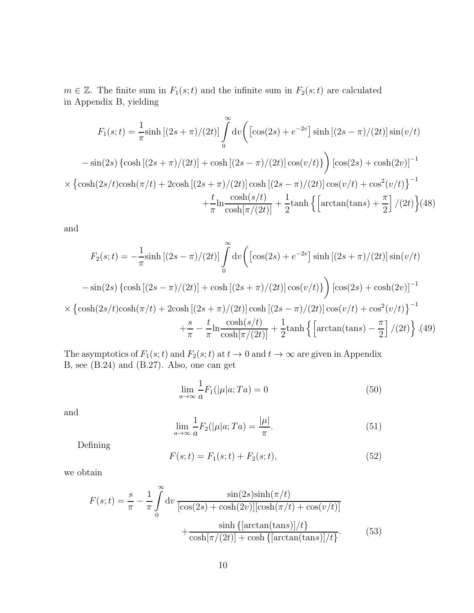$m \in \mathbb{Z}$ . The finite sum in  $F_1(s;t)$  and the infinite sum in  $F_2(s;t)$  are calculated in Appendix B, yielding

$$
F_1(s;t) = \frac{1}{\pi} \sinh[(2s+\pi)/(2t)] \int_0^\infty dv \left( [\cos(2s) + e^{-2v}] \sinh[(2s-\pi)/(2t)] \sin(v/t) \right. \left. - \sin(2s) \left\{ \cosh[(2s+\pi)/(2t)] + \cosh[(2s-\pi)/(2t)] \cos(v/t) \right\} \right) [\cos(2s) + \cosh(2v)]^{-1} \times \left\{ \cosh(2s/t) \cosh(\pi/t) + 2\cosh[(2s+\pi)/(2t)] \cosh[(2s-\pi)/(2t)] \cos(v/t) + \cos^2(v/t) \right\}^{-1} \left. + \frac{t}{\pi} \frac{\cosh(s/t)}{\cosh[\pi/(2t)]} + \frac{1}{2} \tanh\left\{ \left[ \arctan(\tan s) + \frac{\pi}{2} \right]/(2t) \right\} (48)
$$

and

$$
F_2(s;t) = -\frac{1}{\pi} \sinh \left[ (2s - \pi)/(2t) \right] \int_0^\infty \mathrm{d}v \left( \left[ \cos(2s) + e^{-2v} \right] \sinh \left[ (2s + \pi)/(2t) \right] \sin(v/t) \right. \\
\left. - \sin(2s) \left\{ \cosh \left[ (2s - \pi)/(2t) \right] + \cosh \left[ (2s + \pi)/(2t) \right] \cos(v/t) \right\} \right) \left[ \cos(2s) + \cosh(2v) \right]^{-1} \\
\times \left\{ \cosh(2s/t) \cosh(\pi/t) + 2\cosh \left[ (2s + \pi)/(2t) \right] \cosh \left[ (2s - \pi)/(2t) \right] \cos(v/t) + \cos^2(v/t) \right\}^{-1} \\
+ \frac{s}{\pi} - \frac{t}{\pi} \frac{\cosh(s/t)}{\cosh[\pi/(2t)]} + \frac{1}{2} \tanh \left\{ \left[ \arctan(\tan s) - \frac{\pi}{2} \right] / (2t) \right\} .\n\tag{49}
$$

The asymptotics of  $F_1(s; t)$  and  $F_2(s; t)$  at  $t \to 0$  and  $t \to \infty$  are given in Appendix B, see (B.24) and (B.27). Also, one can get

$$
\lim_{a \to \infty} \frac{1}{a} F_1(|\mu|a; Ta) = 0 \tag{50}
$$

and

$$
\lim_{a \to \infty} \frac{1}{a} F_2(|\mu|a; Ta) = \frac{|\mu|}{\pi}.
$$
\n(51)

Defining

$$
F(s; t) = F_1(s; t) + F_2(s; t),
$$
\n(52)

we obtain

$$
F(s;t) = \frac{s}{\pi} - \frac{1}{\pi} \int_0^\infty dv \frac{\sin(2s)\sinh(\pi/t)}{[\cos(2s) + \cosh(2v)][\cosh(\pi/t) + \cos(v/t)]} + \frac{\sinh\{\left[\arctan(\tan s)\right]/t\}}{\cosh[\pi/(2t)] + \cosh\{\left[\arctan(\tan s)\right]/t\}}.
$$
 (53)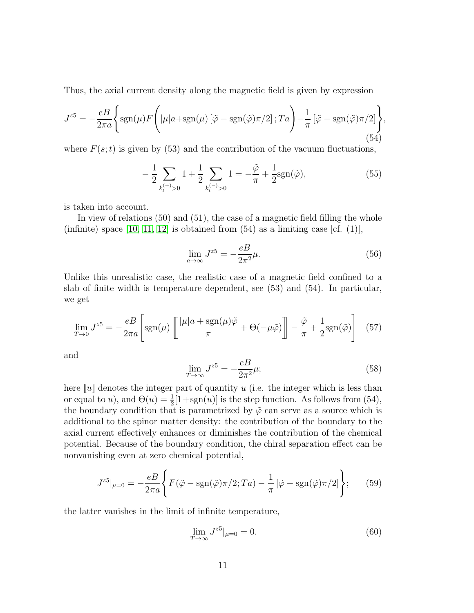Thus, the axial current density along the magnetic field is given by expression

$$
J^{z5} = -\frac{eB}{2\pi a} \left\{ \text{sgn}(\mu) F \left( |\mu| a + \text{sgn}(\mu) \left[ \tilde{\varphi} - \text{sgn}(\tilde{\varphi}) \pi/2 \right]; T a \right) - \frac{1}{\pi} \left[ \tilde{\varphi} - \text{sgn}(\tilde{\varphi}) \pi/2 \right] \right\},\tag{54}
$$

where  $F(s; t)$  is given by (53) and the contribution of the vacuum fluctuations,

$$
-\frac{1}{2}\sum_{k_l^{(+)}>0}1+\frac{1}{2}\sum_{k_l^{(-)}>0}1=-\frac{\tilde{\varphi}}{\pi}+\frac{1}{2}\text{sgn}(\tilde{\varphi}),
$$
\n(55)

is taken into account.

In view of relations (50) and (51), the case of a magnetic field filling the whole (infinite) space [\[10,](#page-28-0) [11,](#page-28-1) [12\]](#page-28-2) is obtained from  $(54)$  as a limiting case [cf.  $(1)$ ],

$$
\lim_{a \to \infty} J^{z5} = -\frac{eB}{2\pi^2} \mu.
$$
\n(56)

Unlike this unrealistic case, the realistic case of a magnetic field confined to a slab of finite width is temperature dependent, see (53) and (54). In particular, we get

$$
\lim_{T \to 0} J^{z5} = -\frac{e}{2\pi a} \left[ \text{sgn}(\mu) \left[ \frac{|\mu| a + \text{sgn}(\mu)\tilde{\varphi}}{\pi} + \Theta(-\mu\tilde{\varphi}) \right] - \frac{\tilde{\varphi}}{\pi} + \frac{1}{2} \text{sgn}(\tilde{\varphi}) \right] \tag{57}
$$

and

$$
\lim_{T \to \infty} J^{z5} = -\frac{eB}{2\pi^2} \mu; \tag{58}
$$

here  $\llbracket u \rrbracket$  denotes the integer part of quantity u (i.e. the integer which is less than or equal to u), and  $\Theta(u) = \frac{1}{2}[1 + \text{sgn}(u)]$  is the step function. As follows from (54), the boundary condition that is parametrized by  $\tilde{\varphi}$  can serve as a source which is additional to the spinor matter density: the contribution of the boundary to the axial current effectively enhances or diminishes the contribution of the chemical potential. Because of the boundary condition, the chiral separation effect can be nonvanishing even at zero chemical potential,

$$
J^{z5}|_{\mu=0} = -\frac{e}{2\pi a} \left\{ F(\tilde{\varphi} - \text{sgn}(\tilde{\varphi})\pi/2; Ta) - \frac{1}{\pi} \left[ \tilde{\varphi} - \text{sgn}(\tilde{\varphi})\pi/2 \right] \right\};\tag{59}
$$

the latter vanishes in the limit of infinite temperature,

$$
\lim_{T \to \infty} J^{z5}|_{\mu=0} = 0.
$$
\n(60)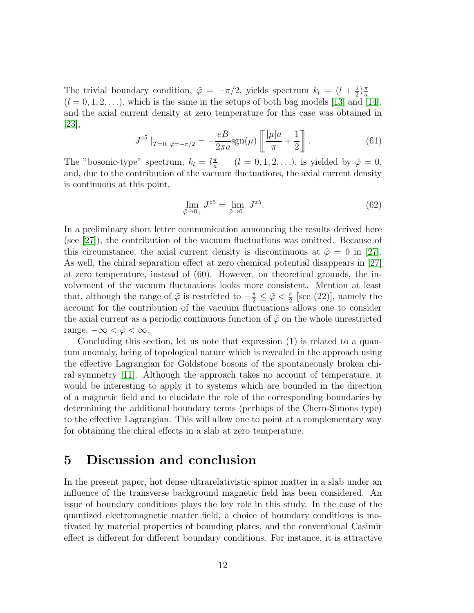The trivial boundary condition,  $\tilde{\varphi} = -\pi/2$ , yields spectrum  $k_l = (l + \frac{1}{2})$  $\frac{1}{2}$  $\frac{\pi}{a}$  $(l = 0, 1, 2, \ldots)$ , which is the same in the setups of both bag models [\[13\]](#page-28-3) and [\[14\]](#page-28-4), and the axial current density at zero temperature for this case was obtained in  $|23|,$ 

$$
J^{z5} \mid_{T=0, \ \tilde{\varphi} = -\pi/2} = -\frac{eB}{2\pi a} \text{sgn}(\mu) \left[ \frac{|\mu|a}{\pi} + \frac{1}{2} \right]. \tag{61}
$$

The "bosonic-type" spectrum,  $k_l = l \frac{\pi}{a}$  $\frac{\pi}{a}$   $(l = 0, 1, 2, \ldots)$ , is yielded by  $\tilde{\varphi} = 0$ , and, due to the contribution of the vacuum fluctuations, the axial current density is continuous at this point,

$$
\lim_{\tilde{\varphi}\to 0_+} J^{z5} = \lim_{\tilde{\varphi}\to 0_-} J^{z5}.
$$
\n(62)

In a preliminary short letter communication announcing the results derived here (see [\[27\]](#page-28-17)), the contribution of the vacuum fluctuations was omitted. Because of this circumstance, the axial current density is discontinuous at  $\tilde{\varphi} = 0$  in [\[27\]](#page-28-17). As well, the chiral separation effect at zero chemical potential disappears in [\[27\]](#page-28-17) at zero temperature, instead of (60). However, on theoretical grounds, the involvement of the vacuum fluctuations looks more consistent. Mention at least that, although the range of  $\tilde{\varphi}$  is restricted to  $-\frac{\pi}{2} \leq \tilde{\varphi} < \frac{\pi}{2}$  $\frac{\pi}{2}$  [see (22)], namely the account for the contribution of the vacuum fluctuations allows one to consider the axial current as a periodic continuous function of  $\tilde{\varphi}$  on the whole unrestricted range,  $-\infty < \tilde{\varphi} < \infty$ .

Concluding this section, let us note that expression (1) is related to a quantum anomaly, being of topological nature which is revealed in the approach using the effective Lagrangian for Goldstone bosons of the spontaneously broken chiral symmetry [\[11\]](#page-28-1). Although the approach takes no account of temperature, it would be interesting to apply it to systems which are bounded in the direction of a magnetic field and to elucidate the role of the corresponding boundaries by determining the additional boundary terms (perhaps of the Chern-Simons type) to the effective Lagrangian. This will allow one to point at a complementary way for obtaining the chiral effects in a slab at zero temperature.

#### 5 Discussion and conclusion

In the present paper, hot dense ultrarelativistic spinor matter in a slab under an influence of the transverse background magnetic field has been considered. An issue of boundary conditions plays the key role in this study. In the case of the quantized electromagnetic matter field, a choice of boundary conditions is motivated by material properties of bounding plates, and the conventional Casimir effect is different for different boundary conditions. For instance, it is attractive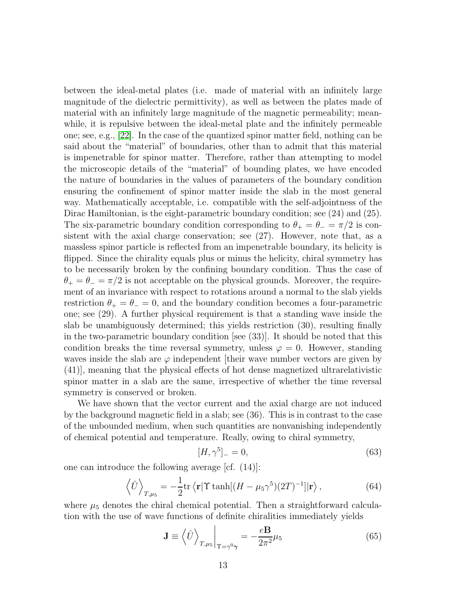between the ideal-metal plates (i.e. made of material with an infinitely large magnitude of the dielectric permittivity), as well as between the plates made of material with an infinitely large magnitude of the magnetic permeability; meanwhile, it is repulsive between the ideal-metal plate and the infinitely permeable one; see, e.g., [\[22\]](#page-28-12). In the case of the quantized spinor matter field, nothing can be said about the "material" of boundaries, other than to admit that this material is impenetrable for spinor matter. Therefore, rather than attempting to model the microscopic details of the "material" of bounding plates, we have encoded the nature of boundaries in the values of parameters of the boundary condition ensuring the confinement of spinor matter inside the slab in the most general way. Mathematically acceptable, i.e. compatible with the self-adjointness of the Dirac Hamiltonian, is the eight-parametric boundary condition; see (24) and (25). The six-parametric boundary condition corresponding to  $\theta_+ = \theta_- = \pi/2$  is consistent with the axial charge conservation; see (27). However, note that, as a massless spinor particle is reflected from an impenetrable boundary, its helicity is flipped. Since the chirality equals plus or minus the helicity, chiral symmetry has to be necessarily broken by the confining boundary condition. Thus the case of  $\theta_+ = \theta_- = \pi/2$  is not acceptable on the physical grounds. Moreover, the requirement of an invariance with respect to rotations around a normal to the slab yields restriction  $\theta_+ = \theta_- = 0$ , and the boundary condition becomes a four-parametric one; see (29). A further physical requirement is that a standing wave inside the slab be unambiguously determined; this yields restriction (30), resulting finally in the two-parametric boundary condition [see (33)]. It should be noted that this condition breaks the time reversal symmetry, unless  $\varphi = 0$ . However, standing waves inside the slab are  $\varphi$  independent [their wave number vectors are given by (41)], meaning that the physical effects of hot dense magnetized ultrarelativistic spinor matter in a slab are the same, irrespective of whether the time reversal symmetry is conserved or broken.

We have shown that the vector current and the axial charge are not induced by the background magnetic field in a slab; see (36). This is in contrast to the case of the unbounded medium, when such quantities are nonvanishing independently of chemical potential and temperature. Really, owing to chiral symmetry,

$$
[H, \gamma^5]_- = 0,\t\t(63)
$$

one can introduce the following average [cf. (14)]:

$$
\left\langle \hat{U} \right\rangle_{T,\mu_5} = -\frac{1}{2} \text{tr} \left\langle \mathbf{r} | \Upsilon \tanh[(H - \mu_5 \gamma^5)(2T)^{-1}] | \mathbf{r} \right\rangle, \tag{64}
$$

where  $\mu_5$  denotes the chiral chemical potential. Then a straightforward calculation with the use of wave functions of definite chiralities immediately yields

$$
\mathbf{J} \equiv \left\langle \hat{U} \right\rangle_{T, \mu_5} \Big|_{\Upsilon = \gamma^0 \gamma} = -\frac{e \mathbf{B}}{2\pi^2} \mu_5 \tag{65}
$$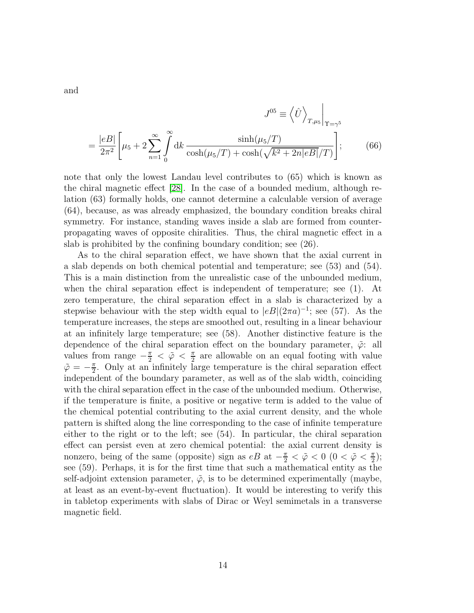$$
J^{05} \equiv \left\langle \hat{U} \right\rangle_{T,\mu_5} \Big|_{\Upsilon = \gamma^5}
$$

$$
= \frac{|eB|}{2\pi^2} \left[ \mu_5 + 2 \sum_{n=1}^{\infty} \int_0^{\infty} dk \, \frac{\sinh(\mu_5/T)}{\cosh(\mu_5/T) + \cosh(\sqrt{k^2 + 2n|eB|}/T)} \right];\tag{66}
$$

note that only the lowest Landau level contributes to (65) which is known as the chiral magnetic effect [\[28\]](#page-28-18). In the case of a bounded medium, although relation (63) formally holds, one cannot determine a calculable version of average (64), because, as was already emphasized, the boundary condition breaks chiral symmetry. For instance, standing waves inside a slab are formed from counterpropagating waves of opposite chiralities. Thus, the chiral magnetic effect in a slab is prohibited by the confining boundary condition; see (26).

As to the chiral separation effect, we have shown that the axial current in a slab depends on both chemical potential and temperature; see (53) and (54). This is a main distinction from the unrealistic case of the unbounded medium, when the chiral separation effect is independent of temperature; see (1). At zero temperature, the chiral separation effect in a slab is characterized by a stepwise behaviour with the step width equal to  $|eB|(2\pi a)^{-1}$ ; see (57). As the temperature increases, the steps are smoothed out, resulting in a linear behaviour at an infinitely large temperature; see (58). Another distinctive feature is the dependence of the chiral separation effect on the boundary parameter,  $\tilde{\varphi}$ : all values from range  $-\frac{\pi}{2} < \tilde{\varphi} < \frac{\pi}{2}$  $\frac{\pi}{2}$  are allowable on an equal footing with value  $\tilde{\varphi} = -\frac{\pi}{2}$  $\frac{\pi}{2}$ . Only at an infinitely large temperature is the chiral separation effect independent of the boundary parameter, as well as of the slab width, coinciding with the chiral separation effect in the case of the unbounded medium. Otherwise, if the temperature is finite, a positive or negative term is added to the value of the chemical potential contributing to the axial current density, and the whole pattern is shifted along the line corresponding to the case of infinite temperature either to the right or to the left; see (54). In particular, the chiral separation effect can persist even at zero chemical potential: the axial current density is nonzero, being of the same (opposite) sign as  $eB$  at  $-\frac{\pi}{2} < \tilde{\varphi} < 0$  ( $0 < \tilde{\varphi} < \frac{\pi}{2}$  $\frac{\pi}{2}$ ); see (59). Perhaps, it is for the first time that such a mathematical entity as the self-adjoint extension parameter,  $\tilde{\varphi}$ , is to be determined experimentally (maybe, at least as an event-by-event fluctuation). It would be interesting to verify this in tabletop experiments with slabs of Dirac or Weyl semimetals in a transverse magnetic field.

and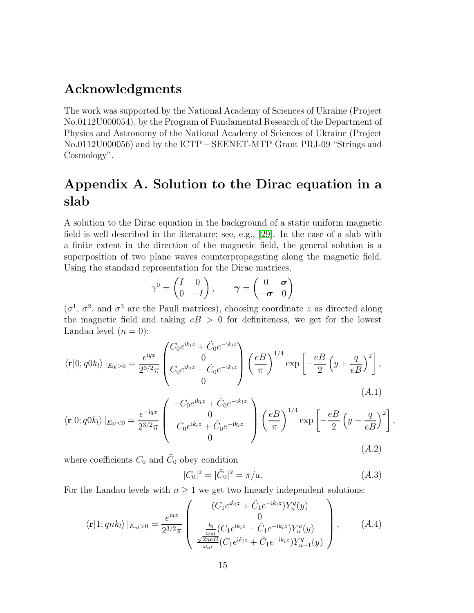### Acknowledgments

The work was supported by the National Academy of Sciences of Ukraine (Project No.0112U000054), by the Program of Fundamental Research of the Department of Physics and Astronomy of the National Academy of Sciences of Ukraine (Project No.0112U000056) and by the ICTP – SEENET-MTP Grant PRJ-09 "Strings and Cosmology".

### Appendix A. Solution to the Dirac equation in a slab

A solution to the Dirac equation in the background of a static uniform magnetic field is well described in the literature; see, e.g., [\[29\]](#page-28-19). In the case of a slab with a finite extent in the direction of the magnetic field, the general solution is a superposition of two plane waves counterpropagating along the magnetic field. Using the standard representation for the Dirac matrices,

$$
\gamma^0 = \begin{pmatrix} I & 0 \\ 0 & -I \end{pmatrix}, \qquad \gamma = \begin{pmatrix} 0 & \sigma \\ -\sigma & 0 \end{pmatrix}
$$

 $(\sigma^1, \sigma^2, \text{ and } \sigma^3 \text{ are the Pauli matrices}),$  choosing coordinate z as directed along the magnetic field and taking  $eB > 0$  for definiteness, we get for the lowest Landau level  $(n = 0)$ :

$$
\langle \mathbf{r} | 0; q0k_l \rangle |_{E_{0l} > 0} = \frac{e^{iqx}}{2^{3/2}\pi} \begin{pmatrix} C_0 e^{ik_l z} + \tilde{C}_0 e^{-ik_l z} \\ 0 \\ C_0 e^{ik_l z} - \tilde{C}_0 e^{-ik_l z} \\ 0 \end{pmatrix} \left(\frac{eB}{\pi}\right)^{1/4} \exp\left[-\frac{eB}{2} \left(y + \frac{q}{eB}\right)^2\right],
$$
\n
$$
\langle \mathbf{r} | 0; q0k_l \rangle |_{E_{0l} < 0} = \frac{e^{-iqx}}{2^{3/2}\pi} \begin{pmatrix} -C_0 e^{ik_l z} + \tilde{C}_0 e^{-ik_l z} \\ 0 \\ C_0 e^{ik_l z} + \tilde{C}_0 e^{-ik_l z} \end{pmatrix} \left(\frac{eB}{\pi}\right)^{1/4} \exp\left[-\frac{eB}{2} \left(y - \frac{q}{eB}\right)^2\right]
$$
\n(A.1)

where coefficients  $C_0$  and  $\tilde{C}_0$  obey condition

$$
|C_0|^2 = |\tilde{C}_0|^2 = \pi/a. \tag{A.3}
$$

,

(A.2)

For the Landau levels with  $n \geq 1$  we get two linearly independent solutions:

0

$$
\langle \mathbf{r} | 1; qnk_l \rangle |_{E_{nl} > 0} = \frac{e^{iqx}}{2^{3/2}\pi} \begin{pmatrix} (C_1 e^{ik_l z} + \tilde{C}_1 e^{-ik_l z}) Y_n^q(y) \\ 0 \\ \frac{k_l}{\omega_{nl}} (C_1 e^{ik_l z} - \tilde{C}_1 e^{-ik_l z}) Y_n^a(y) \\ \frac{\sqrt{2neB}}{\omega_{nl}} (C_1 e^{ik_l z} + \tilde{C}_1 e^{-ik_l z}) Y_{n-1}^q(y) \end{pmatrix}, \quad (A.4)
$$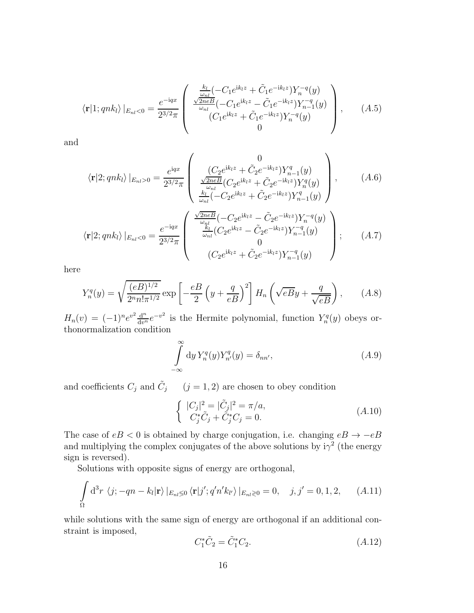$$
\langle \mathbf{r} | 1; qnk_l \rangle |_{E_{nl} < 0} = \frac{e^{-iqx}}{2^{3/2}\pi} \begin{pmatrix} \frac{k_l}{\omega_{nl}} (-C_1 e^{ik_l z} + \tilde{C}_1 e^{-ik_l z}) Y_n^{-q}(y) \\ \frac{\sqrt{2neB}}{\omega_{nl}} (-C_1 e^{ik_l z} - \tilde{C}_1 e^{-ik_l z}) Y_{n-1}^{-q}(y) \\ (C_1 e^{ik_l z} + \tilde{C}_1 e^{-ik_l z}) Y_n^{-q}(y) \\ 0 \end{pmatrix}, \quad (A.5)
$$

and

$$
\langle \mathbf{r}|2; qnk_l \rangle |_{E_{nl}>0} = \frac{e^{iqx}}{2^{3/2}\pi} \begin{pmatrix} 0 \\ \frac{(C_2 e^{ik_l z} + \tilde{C}_2 e^{-ik_l z})Y_{n-1}^q(y)}{\frac{\omega_{nl}}{\omega_{nl}}(C_2 e^{ik_l z} + \tilde{C}_2 e^{-ik_l z})Y_n^q(y)} \\ \frac{k_l}{\omega_{nl}}(-C_2 e^{ik_l z} + \tilde{C}_2 e^{-ik_l z})Y_{n-1}^q(y) \end{pmatrix}, \quad (A.6)
$$

$$
\langle \mathbf{r}|2; qnk_l \rangle |_{E_{nl}<0} = \frac{e^{-iqx}}{2^{3/2}\pi} \begin{pmatrix} \frac{\sqrt{2neB}}{\omega_{nl}}(-C_2 e^{ik_l z} - \tilde{C}_2 e^{-ik_l z})Y_n^{-q}(y) \\ \frac{k_l}{\omega_{nl}}(C_2 e^{ik_l z} - \tilde{C}_2 e^{-ik_l z})Y_{n-1}^{-q}(y) \\ 0 \\ (C_2 e^{ik_l z} + \tilde{C}_2 e^{-ik_l z})Y_{n-1}^{-q}(y) \end{pmatrix}; \quad (A.7)
$$

here

$$
Y_n^q(y) = \sqrt{\frac{(eB)^{1/2}}{2^n n! \pi^{1/2}}} \exp\left[-\frac{eB}{2}\left(y + \frac{q}{eB}\right)^2\right] H_n\left(\sqrt{eBy} + \frac{q}{\sqrt{eB}}\right),\qquad(A.8)
$$

 $H_n(v) = (-1)^n e^{v^2} \frac{d^n}{dv^n} e^{-v^2}$  is the Hermite polynomial, function  $Y_n^q(y)$  obeys orthonormalization condition

$$
\int_{-\infty}^{\infty} dy Y_n^q(y) Y_{n'}^q(y) = \delta_{nn'},
$$
\n(A.9)

and coefficients  $C_j$  and  $\tilde{C}_j$  ( $j = 1, 2$ ) are chosen to obey condition

$$
\begin{cases}\n|C_j|^2 = |\tilde{C}_j|^2 = \pi/a, \\
C_j^* \tilde{C}_j + \tilde{C}_j^* C_j = 0.\n\end{cases}
$$
\n(A.10)

The case of  $eB < 0$  is obtained by charge conjugation, i.e. changing  $eB \to -eB$ and multiplying the complex conjugates of the above solutions by  $i\gamma^2$  (the energy sign is reversed).

Solutions with opposite signs of energy are orthogonal,

$$
\int_{\Omega} d^3r \langle j; -qn - k_l | \mathbf{r} \rangle |_{E_{nl} \leq 0} \langle \mathbf{r} | j'; q'n' k_{l'} \rangle |_{E_{nl} \geq 0} = 0, \quad j, j' = 0, 1, 2, \quad (A.11)
$$

while solutions with the same sign of energy are orthogonal if an additional constraint is imposed,

$$
C_1^* \tilde{C}_2 = \tilde{C}_1^* C_2. \tag{A.12}
$$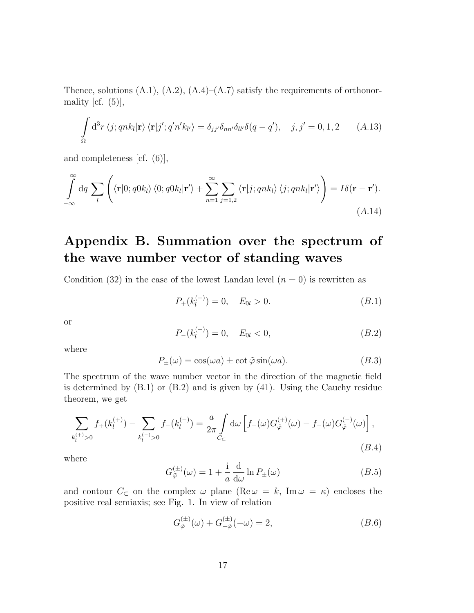Thence, solutions  $(A.1)$ ,  $(A.2)$ ,  $(A.4)$ – $(A.7)$  satisfy the requirements of orthonormality [cf.  $(5)$ ],

$$
\int_{\Omega} d^{3}r \left\langle j; qnk_{l}|\mathbf{r}\right\rangle \langle \mathbf{r}|j'; q'n'k_{l'}\rangle = \delta_{jj'}\delta_{nn'}\delta_{ll'}\delta(q-q'), \quad j, j'=0,1,2 \quad (A.13)
$$

and completeness [cf. (6)],

$$
\int_{-\infty}^{\infty} dq \sum_{l} \left( \langle \mathbf{r} | 0; q0k_{l} \rangle \langle 0; q0k_{l} | \mathbf{r}' \rangle + \sum_{n=1}^{\infty} \sum_{j=1,2} \langle \mathbf{r} | j; qnk_{l} \rangle \langle j; qnk_{l} | \mathbf{r}' \rangle \right) = I \delta(\mathbf{r} - \mathbf{r}').
$$
\n(A.14)

## Appendix B. Summation over the spectrum of the wave number vector of standing waves

Condition (32) in the case of the lowest Landau level  $(n = 0)$  is rewritten as

$$
P_{+}(k_{l}^{(+)}) = 0, \quad E_{0l} > 0. \tag{B.1}
$$

or

$$
P_{-}(k_{l}^{(-)}) = 0, \quad E_{0l} < 0,\tag{B.2}
$$

where

$$
P_{\pm}(\omega) = \cos(\omega a) \pm \cot \tilde{\varphi} \sin(\omega a). \tag{B.3}
$$

The spectrum of the wave number vector in the direction of the magnetic field is determined by (B.1) or (B.2) and is given by (41). Using the Cauchy residue theorem, we get

$$
\sum_{k_l^{(+)} > 0} f_+(k_l^{(+)}) - \sum_{k_l^{(-)} > 0} f_-(k_l^{(-)}) = \frac{a}{2\pi} \int_{C_C} d\omega \left[ f_+(\omega) G_{\tilde{\varphi}}^{(+)}(\omega) - f_-(\omega) G_{\tilde{\varphi}}^{(-)}(\omega) \right],
$$
\n(B.4)

where

$$
G_{\tilde{\varphi}}^{(\pm)}(\omega) = 1 + \frac{\mathrm{i}}{a} \frac{\mathrm{d}}{\mathrm{d}\omega} \ln P_{\pm}(\omega) \tag{B.5}
$$

and contour  $C_{\subset}$  on the complex  $\omega$  plane (Re $\omega = k$ , Im  $\omega = \kappa$ ) encloses the positive real semiaxis; see Fig. 1. In view of relation

$$
G_{\tilde{\varphi}}^{(\pm)}(\omega) + G_{-\tilde{\varphi}}^{(\pm)}(-\omega) = 2, \qquad (B.6)
$$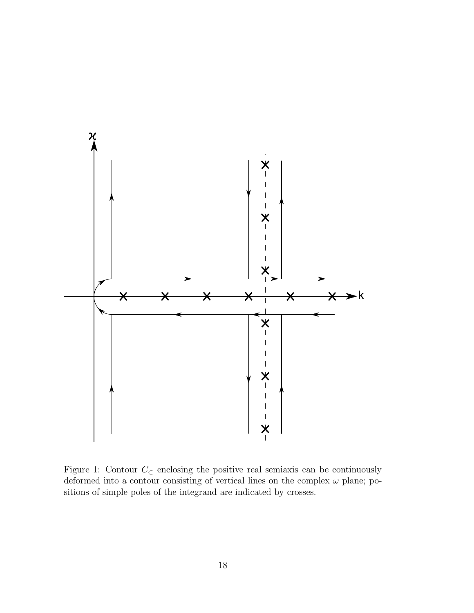

Figure 1: Contour  $C_{\subset}$  enclosing the positive real semiaxis can be continuously deformed into a contour consisting of vertical lines on the complex  $\omega$  plane; positions of simple poles of the integrand are indicated by crosses.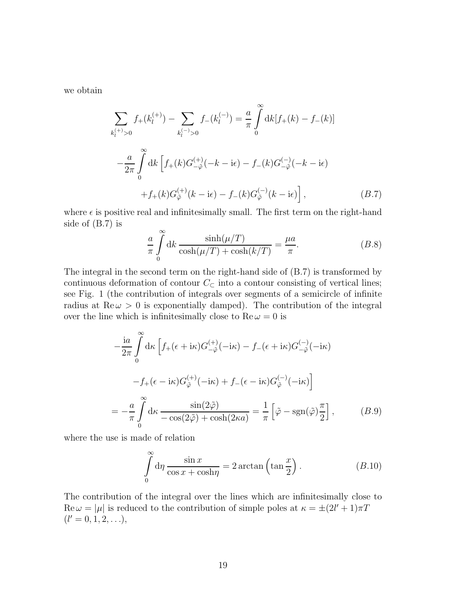we obtain

$$
\sum_{k_{l}^{(+)} > 0} f_{+}(k_{l}^{(+)}) - \sum_{k_{l}^{(-)} > 0} f_{-}(k_{l}^{(-)}) = \frac{a}{\pi} \int_{0}^{\infty} dk [f_{+}(k) - f_{-}(k)]
$$

$$
- \frac{a}{2\pi} \int_{0}^{\infty} dk \left[ f_{+}(k) G_{-\tilde{\varphi}}^{(+)}(-k - i\epsilon) - f_{-}(k) G_{-\tilde{\varphi}}^{(-)}(-k - i\epsilon) + f_{+}(k) G_{\tilde{\varphi}}^{(+)}(k - i\epsilon) - f_{-}(k) G_{\tilde{\varphi}}^{(-)}(k - i\epsilon) \right],
$$
(B.7)

where  $\epsilon$  is positive real and infinitesimally small. The first term on the right-hand side of (B.7) is

$$
\frac{a}{\pi} \int_{0}^{\infty} dk \frac{\sinh(\mu/T)}{\cosh(\mu/T) + \cosh(k/T)} = \frac{\mu a}{\pi}.
$$
 (B.8)

The integral in the second term on the right-hand side of (B.7) is transformed by continuous deformation of contour  $C_{\subset \mathbb{C}}$  into a contour consisting of vertical lines; see Fig. 1 (the contribution of integrals over segments of a semicircle of infinite radius at  $\text{Re}\,\omega > 0$  is exponentially damped). The contribution of the integral over the line which is infinitesimally close to  $\text{Re}\,\omega = 0$  is

$$
-\frac{ia}{2\pi} \int_{0}^{\infty} d\kappa \left[ f_{+}(\epsilon + i\kappa) G_{-\tilde{\varphi}}^{(+)}(-i\kappa) - f_{-}(\epsilon + i\kappa) G_{-\tilde{\varphi}}^{(-)}(-i\kappa) \right]
$$

$$
-f_{+}(\epsilon - i\kappa) G_{\tilde{\varphi}}^{(+)}(-i\kappa) + f_{-}(\epsilon - i\kappa) G_{\tilde{\varphi}}^{(-)}(-i\kappa) \right]
$$

$$
= -\frac{a}{\pi} \int_{0}^{\infty} d\kappa \frac{\sin(2\tilde{\varphi})}{-\cos(2\tilde{\varphi}) + \cosh(2\kappa a)} = \frac{1}{\pi} \left[ \tilde{\varphi} - \text{sgn}(\tilde{\varphi}) \frac{\pi}{2} \right], \qquad (B.9)
$$

where the use is made of relation

$$
\int_{0}^{\infty} d\eta \frac{\sin x}{\cos x + \cosh \eta} = 2 \arctan \left( \tan \frac{x}{2} \right). \tag{B.10}
$$

The contribution of the integral over the lines which are infinitesimally close to  $\text{Re}\,\omega = |\mu|$  is reduced to the contribution of simple poles at  $\kappa = \pm (2l' + 1)\pi T$  $(l'=0,1,2,\ldots),$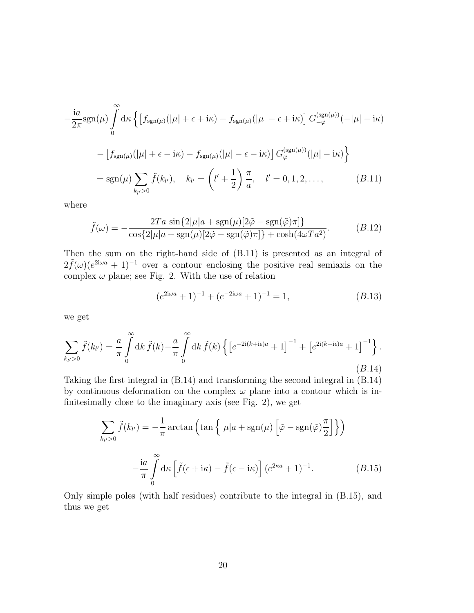$$
-\frac{ia}{2\pi}\text{sgn}(\mu)\int_{0}^{\infty}\text{d}\kappa\left\{\left[f_{\text{sgn}(\mu)}(|\mu|+\epsilon+i\kappa)-f_{\text{sgn}(\mu)}(|\mu|-\epsilon+i\kappa)\right]G_{-\tilde{\varphi}}^{(\text{sgn}(\mu))}(-|\mu|-i\kappa)\right\}
$$

$$
-\left[f_{\text{sgn}(\mu)}(|\mu|+\epsilon-i\kappa)-f_{\text{sgn}(\mu)}(|\mu|-\epsilon-i\kappa)\right]G_{\tilde{\varphi}}^{(\text{sgn}(\mu))}(|\mu|-i\kappa)\right\}
$$

$$
=\text{sgn}(\mu)\sum_{k_{l'}>0}\tilde{f}(k_{l'}),\quad k_{l'}=\left(l'+\frac{1}{2}\right)\frac{\pi}{a},\quad l'=0,1,2,\ldots,\qquad(B.11)
$$

where

$$
\tilde{f}(\omega) = -\frac{2Ta \sin\{2|\mu|a + \text{sgn}(\mu)[2\tilde{\varphi} - \text{sgn}(\tilde{\varphi})\pi]\}}{\cos\{2|\mu|a + \text{sgn}(\mu)[2\tilde{\varphi} - \text{sgn}(\tilde{\varphi})\pi]\} + \cosh(4\omega Ta^2)}.
$$
\n(B.12)

Then the sum on the right-hand side of (B.11) is presented as an integral of  $2\tilde{f}(\omega)(e^{2i\omega a}+1)^{-1}$  over a contour enclosing the positive real semiaxis on the complex  $\omega$  plane; see Fig. 2. With the use of relation

$$
(e^{2i\omega a} + 1)^{-1} + (e^{-2i\omega a} + 1)^{-1} = 1,
$$
\n(B.13)

we get

$$
\sum_{k_{l'}>0} \tilde{f}(k_{l'}) = \frac{a}{\pi} \int_{0}^{\infty} dk \, \tilde{f}(k) - \frac{a}{\pi} \int_{0}^{\infty} dk \, \tilde{f}(k) \left\{ \left[ e^{-2i(k+i\epsilon)a} + 1 \right]^{-1} + \left[ e^{2i(k-i\epsilon)a} + 1 \right]^{-1} \right\}.
$$
\n(B.14)

Taking the first integral in (B.14) and transforming the second integral in (B.14) by continuous deformation on the complex  $\omega$  plane into a contour which is infinitesimally close to the imaginary axis (see Fig. 2), we get

$$
\sum_{k_{l'}>0} \tilde{f}(k_{l'}) = -\frac{1}{\pi} \arctan\left(\tan\left\{|\mu|a + \text{sgn}(\mu)\left[\tilde{\varphi} - \text{sgn}(\tilde{\varphi})\frac{\pi}{2}\right]\right\}\right)
$$

$$
-\frac{\text{i}a}{\pi} \int_{0}^{\infty} \text{d}\kappa \left[\tilde{f}(\epsilon + \text{i}\kappa) - \tilde{f}(\epsilon - \text{i}\kappa)\right] (e^{2\kappa a} + 1)^{-1}.
$$
(B.15)

Only simple poles (with half residues) contribute to the integral in (B.15), and thus we get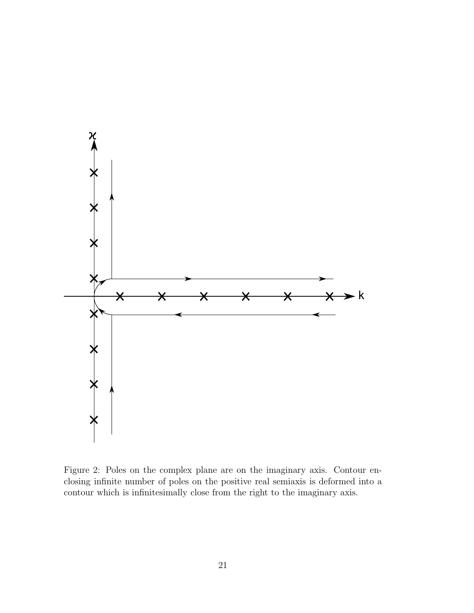

Figure 2: Poles on the complex plane are on the imaginary axis. Contour enclosing infinite number of poles on the positive real semiaxis is deformed into a contour which is infinitesimally close from the right to the imaginary axis.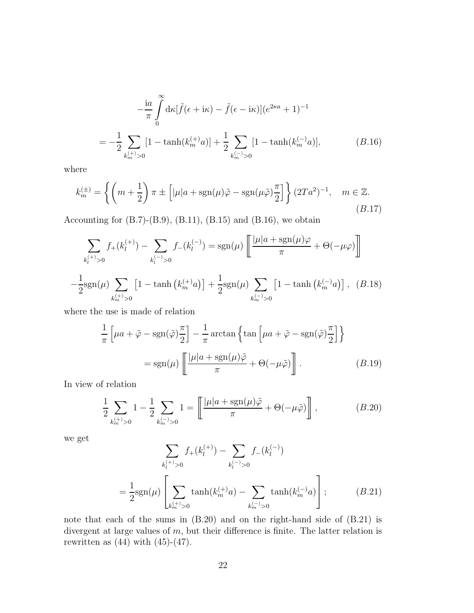$$
-\frac{ia}{\pi} \int_{0}^{\infty} d\kappa [\tilde{f}(\epsilon + i\kappa) - \tilde{f}(\epsilon - i\kappa)] (e^{2\kappa a} + 1)^{-1}
$$
  
= 
$$
-\frac{1}{2} \sum_{k_{m}^{(+)} > 0} [1 - \tanh(k_{m}^{(+)} a)] + \frac{1}{2} \sum_{k_{m}^{(-)} > 0} [1 - \tanh(k_{m}^{(-)} a)],
$$
 (B.16)

where

$$
k_m^{(\pm)} = \left\{ \left( m + \frac{1}{2} \right) \pi \pm \left[ |\mu| a + \text{sgn}(\mu) \tilde{\varphi} - \text{sgn}(\mu \tilde{\varphi}) \frac{\pi}{2} \right] \right\} (2Ta^2)^{-1}, \quad m \in \mathbb{Z}.
$$
\n(B.17)

Accounting for  $(B.7)$ - $(B.9)$ ,  $(B.11)$ ,  $(B.15)$  and  $(B.16)$ , we obtain

$$
\sum_{k_l^{(+)} > 0} f_{+}(k_l^{(+)}) - \sum_{k_l^{(-)} > 0} f_{-}(k_l^{(-)}) = \text{sgn}(\mu) \left[ \frac{|\mu| a + \text{sgn}(\mu)\varphi}{\pi} + \Theta(-\mu\varphi) \right]
$$

$$
-\frac{1}{2} \text{sgn}(\mu) \sum_{k_m^{(+)} > 0} \left[ 1 - \tanh\left(k_m^{(+)}a\right) \right] + \frac{1}{2} \text{sgn}(\mu) \sum_{k_m^{(-)} > 0} \left[ 1 - \tanh\left(k_m^{(-)}a\right) \right], \quad (B.18)
$$

where the use is made of relation

$$
\frac{1}{\pi} \left[ \mu a + \tilde{\varphi} - \text{sgn}(\tilde{\varphi}) \frac{\pi}{2} \right] - \frac{1}{\pi} \arctan \left\{ \tan \left[ \mu a + \tilde{\varphi} - \text{sgn}(\tilde{\varphi}) \frac{\pi}{2} \right] \right\}
$$

$$
= \text{sgn}(\mu) \left[ \frac{|\mu| a + \text{sgn}(\mu)\tilde{\varphi}}{\pi} + \Theta(-\mu \tilde{\varphi}) \right]. \tag{B.19}
$$

In view of relation

$$
\frac{1}{2} \sum_{k_m^{(+)} > 0} 1 - \frac{1}{2} \sum_{k_m^{(-)} > 0} 1 = \left[ \frac{|\mu| a + \text{sgn}(\mu)\tilde{\varphi}}{\pi} + \Theta(-\mu\tilde{\varphi}) \right],
$$
 (B.20)

we get

$$
\sum_{k_l^{(+)}>0} f_{+}(k_l^{(+)}) - \sum_{k_l^{(-)}>0} f_{-}(k_l^{(-)})
$$
\n
$$
= \frac{1}{2} \text{sgn}(\mu) \left[ \sum_{k_m^{(+)}>0} \tanh(k_m^{(+)}a) - \sum_{k_m^{(-)}>0} \tanh(k_m^{(-)}a) \right];
$$
\n(B.21)

note that each of the sums in (B.20) and on the right-hand side of (B.21) is divergent at large values of  $m$ , but their difference is finite. The latter relation is rewritten as  $(44)$  with  $(45)-(47)$ .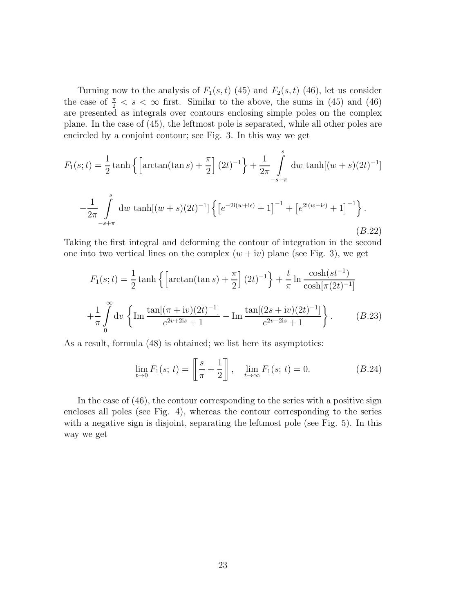Turning now to the analysis of  $F_1(s,t)$  (45) and  $F_2(s,t)$  (46), let us consider the case of  $\frac{\pi}{2} < s < \infty$  first. Similar to the above, the sums in (45) and (46) are presented as integrals over contours enclosing simple poles on the complex plane. In the case of (45), the leftmost pole is separated, while all other poles are encircled by a conjoint contour; see Fig. 3. In this way we get

$$
F_1(s;t) = \frac{1}{2}\tanh\left\{\left[\arctan(\tan s) + \frac{\pi}{2}\right](2t)^{-1}\right\} + \frac{1}{2\pi}\int_{-s+\pi}^s dw \tanh[(w+s)(2t)^{-1}]
$$

$$
-\frac{1}{2\pi}\int_{-s+\pi}^s dw \tanh[(w+s)(2t)^{-1}] \left\{\left[e^{-2i(w+i\epsilon)} + 1\right]^{-1} + \left[e^{2i(w-i\epsilon)} + 1\right]^{-1}\right\}.
$$
(B.22)

Taking the first integral and deforming the contour of integration in the second one into two vertical lines on the complex  $(w + iv)$  plane (see Fig. 3), we get

$$
F_1(s;t) = \frac{1}{2}\tanh\left\{\left[\arctan(\tan s) + \frac{\pi}{2}\right](2t)^{-1}\right\} + \frac{t}{\pi}\ln\frac{\cosh(st^{-1})}{\cosh[\pi(2t)^{-1}]}
$$

$$
+\frac{1}{\pi}\int_{0}^{\infty} dv\left\{\ln\frac{\tan[(\pi + iv)(2t)^{-1}]}{e^{2v+2is}+1} - \ln\frac{\tan[(2s+iv)(2t)^{-1}]}{e^{2v-2is}+1}\right\}.
$$
(B.23)

As a result, formula (48) is obtained; we list here its asymptotics:

$$
\lim_{t \to 0} F_1(s; t) = \left[ \frac{s}{\pi} + \frac{1}{2} \right], \quad \lim_{t \to \infty} F_1(s; t) = 0.
$$
 (B.24)

In the case of (46), the contour corresponding to the series with a positive sign encloses all poles (see Fig. 4), whereas the contour corresponding to the series with a negative sign is disjoint, separating the leftmost pole (see Fig. 5). In this way we get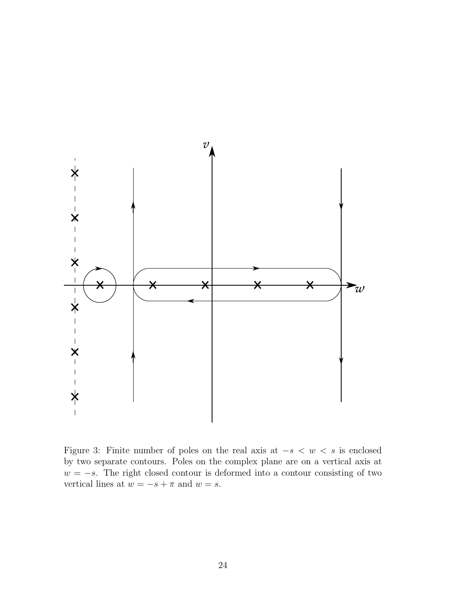

Figure 3: Finite number of poles on the real axis at  $-s < w < s$  is enclosed by two separate contours. Poles on the complex plane are on a vertical axis at  $w = -s$ . The right closed contour is deformed into a contour consisting of two vertical lines at  $w = -s + \pi$  and  $w = s$ .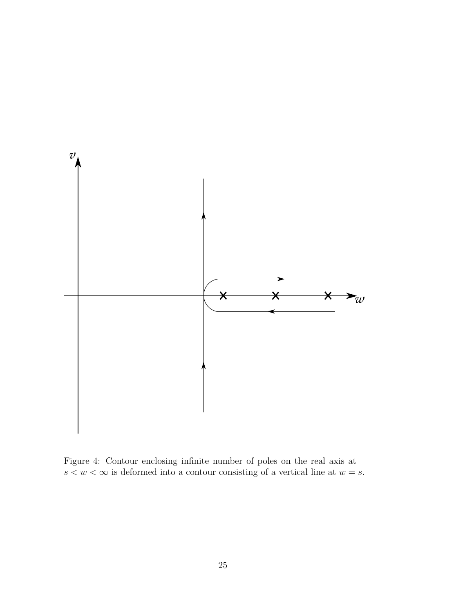

Figure 4: Contour enclosing infinite number of poles on the real axis at  $s < w < \infty$  is deformed into a contour consisting of a vertical line at  $w = s.$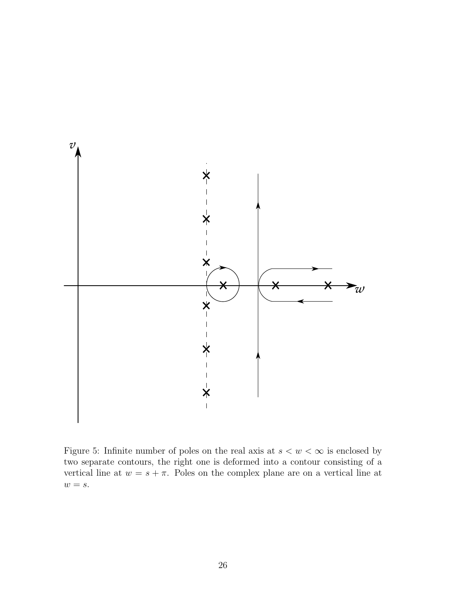

Figure 5: Infinite number of poles on the real axis at  $s < w < \infty$  is enclosed by two separate contours, the right one is deformed into a contour consisting of a vertical line at  $w = s + \pi$ . Poles on the complex plane are on a vertical line at  $w = s$ .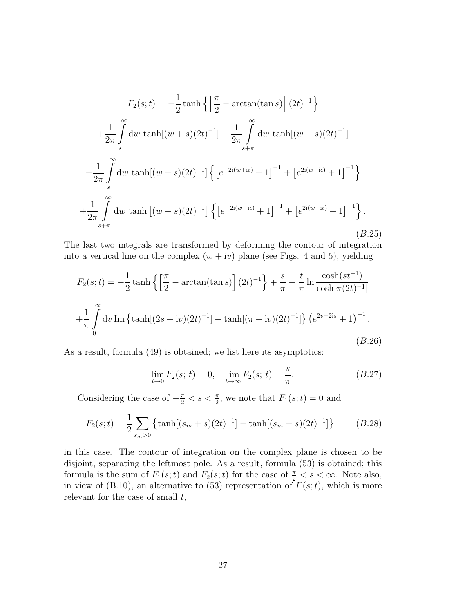$$
F_2(s;t) = -\frac{1}{2}\tanh\left\{ \left[ \frac{\pi}{2} - \arctan(\tan s) \right] (2t)^{-1} \right\}
$$
  
+  $\frac{1}{2\pi} \int_s^{\infty} dw \tanh[(w+s)(2t)^{-1}] - \frac{1}{2\pi} \int_{s+\pi}^{\infty} dw \tanh[(w-s)(2t)^{-1}]$   
-  $\frac{1}{2\pi} \int_s^{\infty} dw \tanh[(w+s)(2t)^{-1}] \left\{ \left[ e^{-2i(w+i\epsilon)} + 1 \right]^{-1} + \left[ e^{2i(w-i\epsilon)} + 1 \right]^{-1} \right\}$   
+  $\frac{1}{2\pi} \int_{s+\pi}^{\infty} dw \tanh[(w-s)(2t)^{-1}] \left\{ \left[ e^{-2i(w+i\epsilon)} + 1 \right]^{-1} + \left[ e^{2i(w-i\epsilon)} + 1 \right]^{-1} \right\}.$   
(B.25)

The last two integrals are transformed by deforming the contour of integration into a vertical line on the complex  $(w + iv)$  plane (see Figs. 4 and 5), yielding

$$
F_2(s;t) = -\frac{1}{2}\tanh\left\{ \left[ \frac{\pi}{2} - \arctan(\tan s) \right] (2t)^{-1} \right\} + \frac{s}{\pi} - \frac{t}{\pi} \ln \frac{\cosh(st^{-1})}{\cosh[\pi(2t)^{-1}]}
$$

$$
+ \frac{1}{\pi} \int_0^\infty dv \operatorname{Im} \left\{ \tanh[(2s+iv)(2t)^{-1}] - \tanh[(\pi+iv)(2t)^{-1}] \right\} (e^{2v-2is} + 1)^{-1}.
$$
(B.26)

As a result, formula (49) is obtained; we list here its asymptotics:

$$
\lim_{t \to 0} F_2(s; t) = 0, \quad \lim_{t \to \infty} F_2(s; t) = \frac{s}{\pi}.
$$
\n(B.27)

Considering the case of  $-\frac{\pi}{2} < s < \frac{\pi}{2}$ , we note that  $F_1(s; t) = 0$  and

$$
F_2(s;t) = \frac{1}{2} \sum_{s_m > 0} \left\{ \tanh[(s_m + s)(2t)^{-1}] - \tanh[(s_m - s)(2t)^{-1}] \right\}
$$
 (B.28)

in this case. The contour of integration on the complex plane is chosen to be disjoint, separating the leftmost pole. As a result, formula (53) is obtained; this formula is the sum of  $F_1(s;t)$  and  $F_2(s;t)$  for the case of  $\frac{\pi}{2} < s < \infty$ . Note also, in view of (B.10), an alternative to (53) representation of  $F(s;t)$ , which is more relevant for the case of small  $t$ ,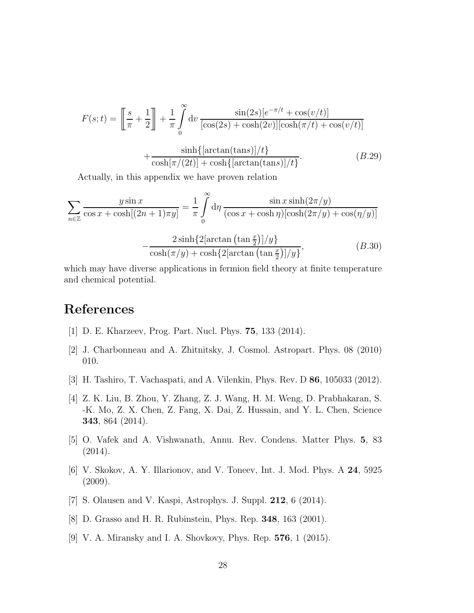$$
F(s;t) = \left[\frac{s}{\pi} + \frac{1}{2}\right] + \frac{1}{\pi} \int_0^\infty dv \frac{\sin(2s)[e^{-\pi/t} + \cos(v/t)]}{[\cos(2s) + \cosh(2v)][\cosh(\pi/t) + \cos(v/t)]} + \frac{\sinh\{\left[\arctan(\tan s)\right]/t\}}{\cosh[\pi/(2t)] + \cosh\{\left[\arctan(\tan s)\right]/t\}}.\tag{B.29}
$$

Actually, in this appendix we have proven relation

$$
\sum_{n\in\mathbb{Z}}\frac{y\sin x}{\cos x + \cosh[(2n+1)\pi y]} = \frac{1}{\pi}\int_{0}^{\infty}d\eta \frac{\sin x \sinh(2\pi/y)}{(\cos x + \cosh \eta)[\cosh(2\pi/y) + \cos(\eta/y)]}
$$

$$
-\frac{2\sinh\{2[\arctan(\tan\frac{x}{2})]/y\}}{\cosh(\pi/y) + \cosh\{2[\arctan(\tan\frac{x}{2})]/y\}},
$$
(B.30)

which may have diverse applications in fermion field theory at finite temperature and chemical potential.

### <span id="page-27-0"></span>References

- <span id="page-27-1"></span>[1] D. E. Kharzeev, Prog. Part. Nucl. Phys. 75, 133 (2014).
- <span id="page-27-2"></span>[2] J. Charbonneau and A. Zhitnitsky, J. Cosmol. Astropart. Phys. 08 (2010) 010.
- <span id="page-27-3"></span>[3] H. Tashiro, T. Vachaspati, and A. Vilenkin, Phys. Rev. D 86, 105033 (2012).
- [4] Z. K. Liu, B. Zhou, Y. Zhang, Z. J. Wang, H. M. Weng, D. Prabhakaran, S. -K. Mo, Z. X. Chen, Z. Fang, X. Dai, Z. Hussain, and Y. L. Chen, Science 343, 864 (2014).
- <span id="page-27-4"></span>[5] O. Vafek and A. Vishwanath, Annu. Rev. Condens. Matter Phys. 5, 83 (2014).
- <span id="page-27-5"></span>[6] V. Skokov, A. Y. Illarionov, and V. Toneev, Int. J. Mod. Phys. A 24, 5925 (2009).
- <span id="page-27-7"></span><span id="page-27-6"></span>[7] S. Olausen and V. Kaspi, Astrophys. J. Suppl. 212, 6 (2014).
- <span id="page-27-8"></span>[8] D. Grasso and H. R. Rubinstein, Phys. Rep. 348, 163 (2001).
- [9] V. A. Miransky and I. A. Shovkovy, Phys. Rep. 576, 1 (2015).